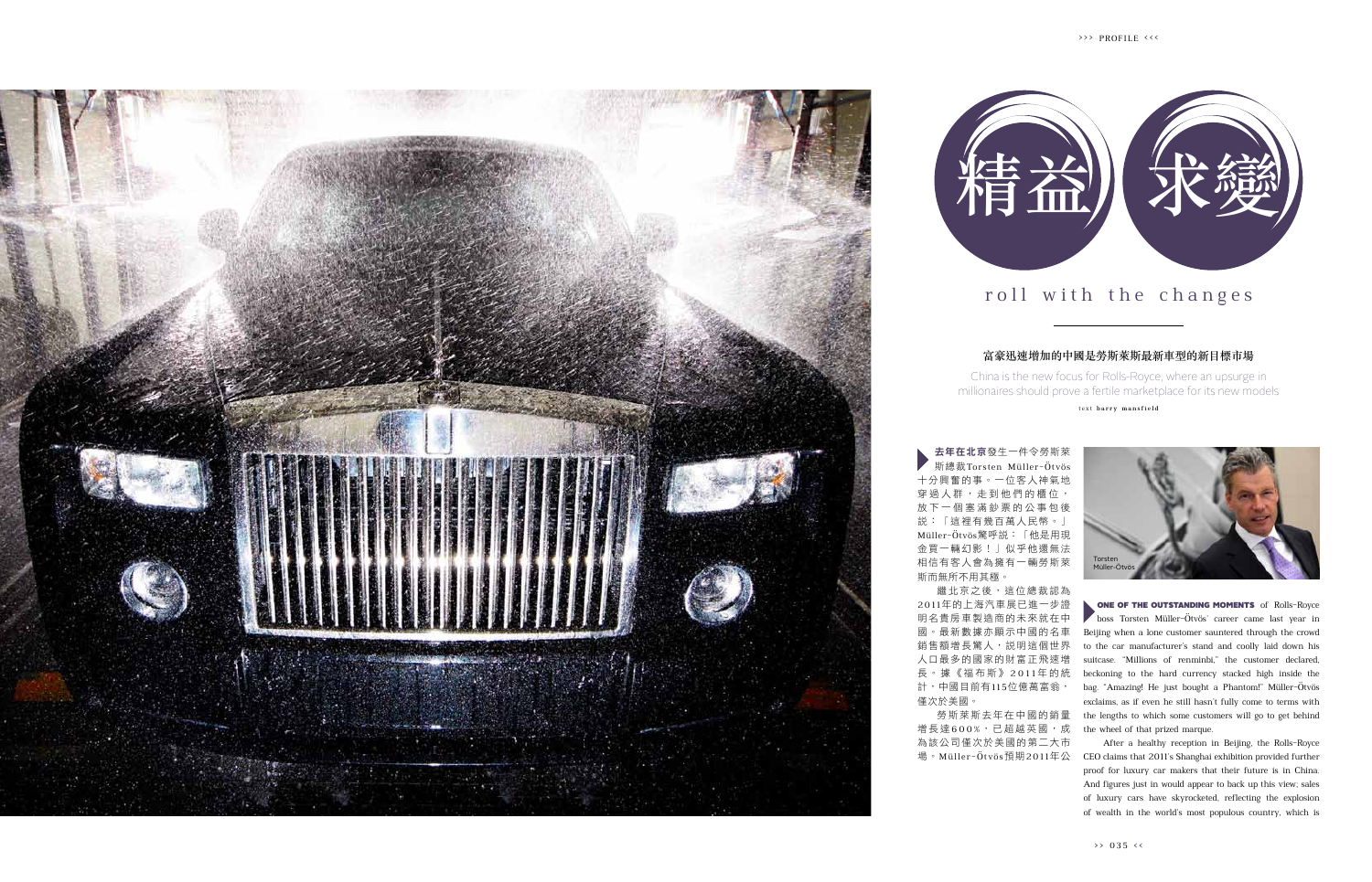**ONE OF THE OUTSTANDING MOMENTS** of Rolls-Royce boss Torsten Müller-Ötvös' career came last year in Beijing when a lone customer sauntered through the crowd to the car manufacturer's stand and coolly laid down his suitcase. "Millions of renminbi," the customer declared, beckoning to the hard currency stacked high inside the bag. "Amazing! He just bought a Phantom!" Müller-Ötvös exclaims, as if even he still hasn't fully come to terms with the lengths to which some customers will go to get behind the wheel of that prized marque.

繼北京之後,這位總裁認為 20 1 1年的上海汽車展已進一步證 明名貴房車製造商的未來就在中 國。最新數據亦顯示中國的名車 銷售額增長驚人,說明這個世界 人口最多的國家的財富正飛速增 長 。 據 《 福 布 斯 》 2 0 1 1 年 的 統 計,中國目前有115位億萬富翁, 僅次於美國。

After a healthy reception in Beijing, the Rolls-Royce 場。Müller-Öt vös預期2011年公 CEO claims that 2011's Shanghai exhibition provided further proof for luxury car makers that their future is in China. And figures just in would appear to back up this view; sales of luxury cars have skyrocketed, reflecting the explosion of wealth in the world's most populous country, which is

去年在北京發生一件令勞斯萊 斯總裁Torsten Müller-Ötvös 十分興奮的事。一位客人神氣地 , 走 到 他 們 的 櫃 位 , 放 下 一 個 塞 滿 鈔 票 的 公 事 包 後 說:「這裡有幾百萬人民幣。」 Müller-Ötvös驚呼說:「他是用現 金買一輛幻影!」似乎他還無法 相信有客人會為擁有一輛勞斯萊 斯而無所不用其極。

勞斯萊斯去年在中國的銷量 增長達600%,已超越英國,成 為該公司僅次於美國的第二大市

## roll with the changes

## 富豪迅速增加的中國是勞斯萊斯最新車型的新目標市場

China is the new focus for Rolls-Royce, where an upsurge in millionaires should prove a fertile marketplace for its new models

t e x t **b a r r y m a n s fi el d**





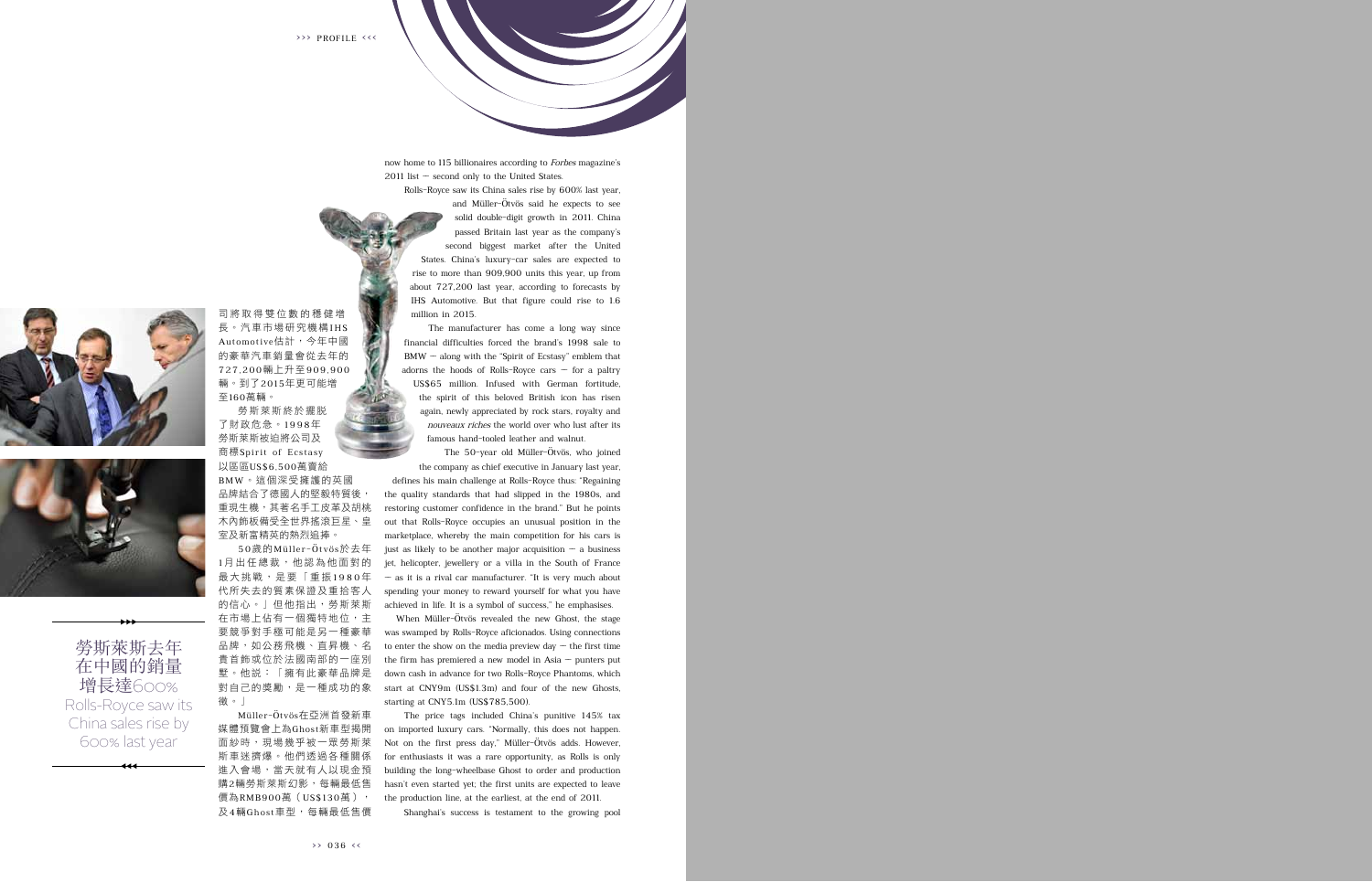now home to 115 billionaires according to Forbes magazine's  $2011$  list  $-$  second only to the United States.

Rolls-Royce saw its China sales rise by 600% last year,

and Müller-Ötvös said he expects to see solid double-digit growth in 2011. China passed Britain last year as the company's second biggest market after the United States. China's luxury-car sales are expected to rise to more than 909,900 units this year, up from about 727,200 last year, according to forecasts by IHS Automotive. But that figure could rise to 1.6 million in 2015.

The manufacturer has come a long way since financial difficulties forced the brand's 1998 sale to  $BMW - along with the "Spirit of Eestasy" emblem that$ adorns the hoods of Rolls-Royce cars  $-$  for a paltry US\$65 million. Infused with German fortitude, the spirit of this beloved British icon has risen again, newly appreciated by rock stars, royalty and nouveaux riches the world over who lust after its famous hand-tooled leather and walnut.

The 50-year old Müller-Ötvös, who joined the company as chief executive in January last year,

defines his main challenge at Rolls-Royce thus: "Regaining the quality standards that had slipped in the 1980s, and restoring customer confidence in the brand." But he points out that Rolls-Royce occupies an unusual position in the marketplace, whereby the main competition for his cars is just as likely to be another major acquisition  $-$  a business jet, helicopter, jewellery or a villa in the South of France  $-$  as it is a rival car manufacturer. "It is very much about spending your money to reward yourself for what you have achieved in life. It is a symbol of success," he emphasises.

When Müller-Ötvös revealed the new Ghost, the stage was swamped by Rolls-Royce aficionados. Using connections to enter the show on the media preview day  $-$  the first time the firm has premiered a new model in Asia  $-$  punters put down cash in advance for two Rolls-Royce Phantoms, which start at CNY9m (US\$1.3m) and four of the new Ghosts, starting at CNY5.1m (US\$785,500).

The price tags included China's punitive 145% tax on imported luxury cars. "Normally, this does not happen. Not on the first press day," Müller-Ötvös adds. However, for enthusiasts it was a rare opportunity, as Rolls is only building the long-wheelbase Ghost to order and production hasn't even started yet; the first units are expected to leave the production line, at the earliest, at the end of 2011.

Shanghai's success is testament to the growing pool





勞斯萊斯去年 在中國的銷量 增長達600% Rolls-Royce saw its China sales rise by 600% last year

至160萬輛。 勞斯萊斯終於擺脫 了財政危急。1 9 9 8年 勞斯萊斯被迫將公司及 商標 Spirit of Ecstasy

司 將 取 得 雙 位 數 的 穩 健 增 長。汽車市場研究機構IHS Au tomo tive估計,今年中國 的豪華汽車銷量會從去年的 727 ,200輛上升至909 ,900 輛。到了2015年更可能增

以區區US\$6,500萬賣給 BMW。這個深受擁護的英國 品牌結合了德國人的堅毅特質後, 重現生機,其著名手工皮革及胡桃 木內飾板備受全世界搖滾巨星、皇 室及新富精英的熱烈追捧。

50歲的Mülle r -Ö t vö s於去年 1月出任總裁,他認為他面對的 最大挑戰,是要「重振1980年 代所失去的質素保證及重拾客人 的信心。」但他指出,勞斯萊斯 在市場上佔有一個獨特地位,主 要競爭對手極可能是另一種豪華 品牌,如公務飛機、直昇機、名 貴首飾或位於法國南部的一座別 墅。他說:「擁有此豪華品牌是 對自己的獎勵,是一種成功的象 徵。」

Müller-Ötvös在亞洲首發新車 媒體預覽會上為Ghost新車型揭開 面紗時,現場幾乎被一眾勞斯萊 斯車迷擠爆。他們透過各種關係 進入會場,當天就有人以現金預 購2輛勞斯萊斯幻影,每輛最低售 價為RMB900萬(US\$130萬), 及4輛Ghost車型,每輛最低售價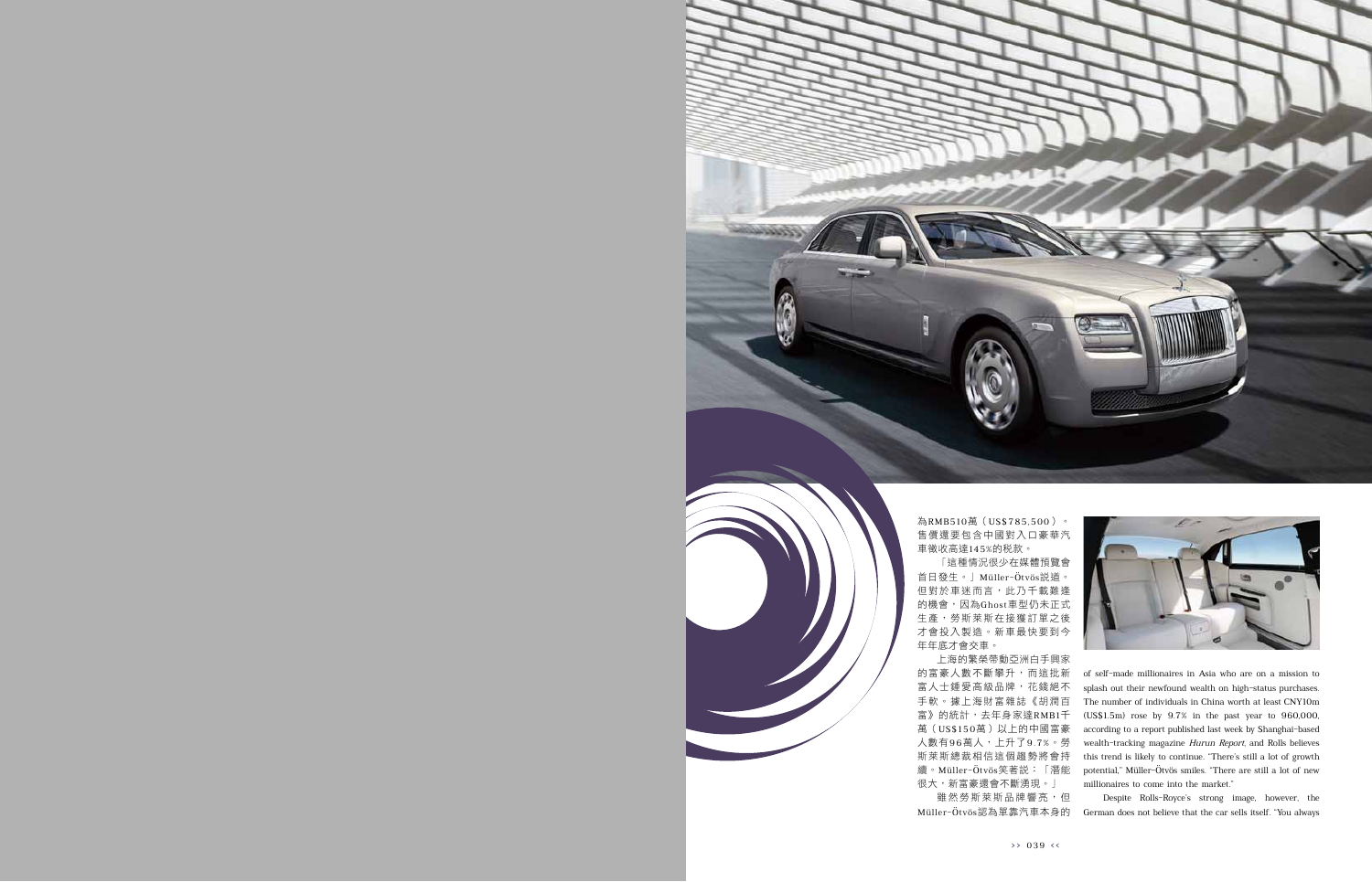

為RMB510萬(US\$785,500)。 售價還要包含中國對入口豪華汽 車徵收高達145%的稅款。

「這種情況很少在媒體預覽會 首日發生。」Müller-Ötvös說道。 但對於車迷而言,此乃千載難逢 的機會,因為Ghost車型仍未正式 生產,勞斯萊斯在接獲訂單之後 才會投入製造。新車最快要到今 年年底才會交車。

上海的繁榮帶動亞洲白手興家 的富豪人數不斷攀升,而這批新 富人士鍾愛高級品牌,花錢絕不 手軟。據上海財富雜誌《胡潤百 富》的統計,去年身家達RMB1千 萬(US\$150萬)以上的中國富豪 人數有96萬人,上升了9.7%。勞 斯萊斯總裁相信這個趨勢將會持 續。Müller-Ötvös笑著說:「潛能 很大,新富豪還會不斷湧現。」

雖然勞斯萊斯品牌響亮,但 Müller-Ötvös認為單靠汽車本身的



of self-made millionaires in Asia who are on a mission to splash out their newfound wealth on high-status purchases. The number of individuals in China worth at least CNY10m (US\$1.5m) rose by 9.7% in the past year to 960,000, according to a report published last week by Shanghai-based wealth-tracking magazine Hurun Report, and Rolls believes this trend is likely to continue. "There's still a lot of growth potential," Müller-Ötvös smiles. "There are still a lot of new millionaires to come into the market."

Despite Rolls-Royce's strong image, however, the German does not believe that the car sells itself. "You always